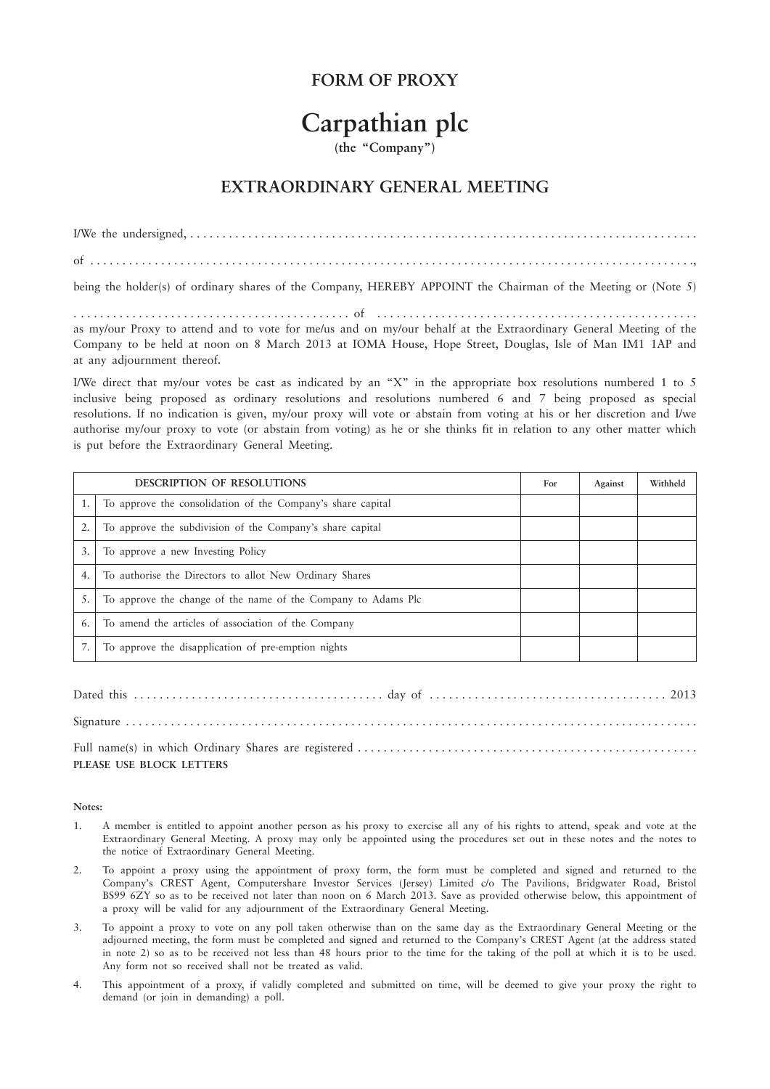## **FORM OF PROXY**

## **Carpathian plc**

## **(the "Company")**

## **EXTRAORDINARY GENERAL MEETING**

I/We the undersigned, . . . . . . . . . . . . . . . . . . . . . . . . . . . . . . . . . . . . . . . . . . . . . . . . . . . . . . . . . . . . . . . . . . . . . . . . . . . . . . . of . . . . . . . . . . . . . . . . . . . . . . . . . . . . . . . . . . . . . . . . . . . . . . . . . . . . . . . . . . . . . . . . . . . . . . . . . . . . . . . . . . . . . . . . . . . . . .,

being the holder(s) of ordinary shares of the Company, HEREBY APPOINT the Chairman of the Meeting or (Note 5)

. . . . . . . . . . . . . . . . . . . . . . . . . . . . . . . . . . . . . . . . . . . of . . . . . . . . . . . . . . . . . . . . . . . . . . . . . . . . . . . . . . . . . . . . . . . . . . as my/our Proxy to attend and to vote for me/us and on my/our behalf at the Extraordinary General Meeting of the Company to be held at noon on 8 March 2013 at IOMA House, Hope Street, Douglas, Isle of Man IM1 1AP and at any adjournment thereof.

I/We direct that my/our votes be cast as indicated by an "X" in the appropriate box resolutions numbered 1 to 5 inclusive being proposed as ordinary resolutions and resolutions numbered 6 and 7 being proposed as special resolutions. If no indication is given, my/our proxy will vote or abstain from voting at his or her discretion and I/we authorise my/our proxy to vote (or abstain from voting) as he or she thinks fit in relation to any other matter which is put before the Extraordinary General Meeting.

| <b>DESCRIPTION OF RESOLUTIONS</b> |                                                               | For | Against | Withheld |
|-----------------------------------|---------------------------------------------------------------|-----|---------|----------|
|                                   | To approve the consolidation of the Company's share capital   |     |         |          |
|                                   | To approve the subdivision of the Company's share capital     |     |         |          |
| 3.                                | To approve a new Investing Policy                             |     |         |          |
| 4.1                               | To authorise the Directors to allot New Ordinary Shares       |     |         |          |
|                                   | To approve the change of the name of the Company to Adams Plc |     |         |          |
| 6.                                | To amend the articles of association of the Company           |     |         |          |
|                                   | To approve the disapplication of pre-emption nights           |     |         |          |

Dated this . . . . . . . . . . . . . . . . . . . . . . . . . . . . . . . . . . . . . . . day of . . . . . . . . . . . . . . . . . . . . . . . . . . . . . . . . . . . . . 2013 Signature . . . . . . . . . . . . . . . . . . . . . . . . . . . . . . . . . . . . . . . . . . . . . . . . . . . . . . . . . . . . . . . . . . . . . . . . . . . . . . . . . . . . . . . . . Full name(s) in which Ordinary Shares are registered . . . . . . . . . . . . . . . . . . . . . . . . . . . . . . . . . . . . . . . . . . . . . . . . . . . . . **PLEASE USE BLOCK LETTERS**

**Notes:**

- 1. A member is entitled to appoint another person as his proxy to exercise all any of his rights to attend, speak and vote at the Extraordinary General Meeting. A proxy may only be appointed using the procedures set out in these notes and the notes to the notice of Extraordinary General Meeting.
- 2. To appoint a proxy using the appointment of proxy form, the form must be completed and signed and returned to the Company's CREST Agent, Computershare Investor Services (Jersey) Limited c/o The Pavilions, Bridgwater Road, Bristol BS99 6ZY so as to be received not later than noon on 6 March 2013. Save as provided otherwise below, this appointment of a proxy will be valid for any adjournment of the Extraordinary General Meeting.
- 3. To appoint a proxy to vote on any poll taken otherwise than on the same day as the Extraordinary General Meeting or the adjourned meeting, the form must be completed and signed and returned to the Company's CREST Agent (at the address stated in note 2) so as to be received not less than 48 hours prior to the time for the taking of the poll at which it is to be used. Any form not so received shall not be treated as valid.
- 4. This appointment of a proxy, if validly completed and submitted on time, will be deemed to give your proxy the right to demand (or join in demanding) a poll.